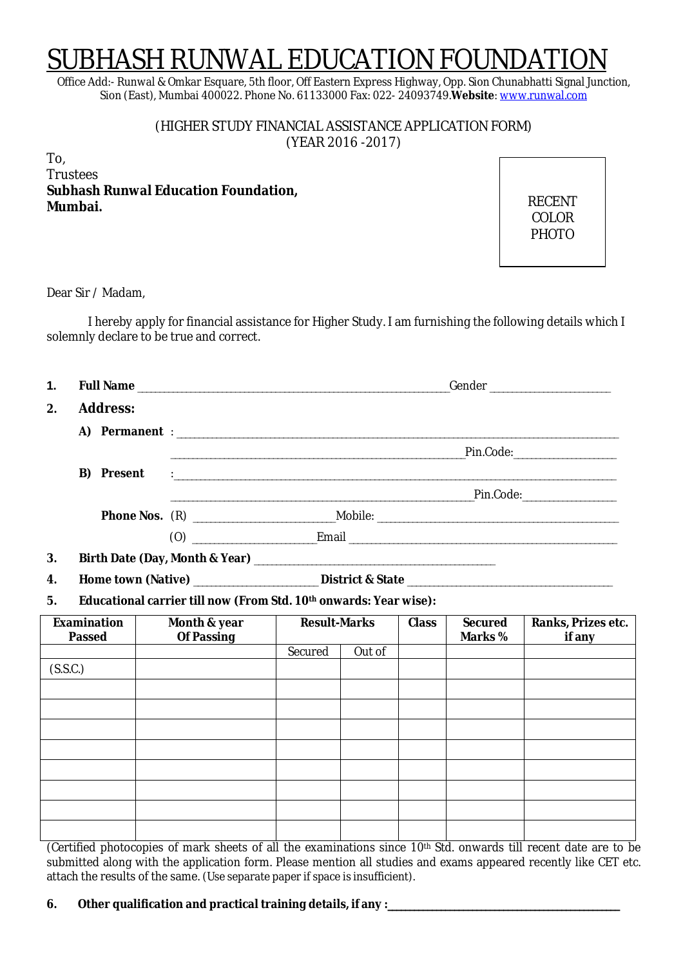# SUBHASH RUNWAL EDUCATION FOUNDA

Office Add:- Runwal & Omkar Esquare, 5th floor, Off Eastern Express Highway, Opp. Sion Chunabhatti Signal Junction, Sion (East), Mumbai 400022. Phone No. 61133000 Fax: 022- 24093749.**Website**: www.runwal.com

> (HIGHER STUDY FINANCIAL ASSISTANCE APPLICATION FORM) (YEAR 2016 -2017)

To, Trustees **Subhash Runwal Education Foundation, Mumbai.**

RECENT COLOR PHOTO

Dear Sir / Madam,

I hereby apply for financial assistance for Higher Study. I am furnishing the following details which I solemnly declare to be true and correct.

| 1. |                 |  |  |
|----|-----------------|--|--|
| 2. | <b>Address:</b> |  |  |
|    |                 |  |  |
|    |                 |  |  |
|    |                 |  |  |
|    |                 |  |  |
|    |                 |  |  |
|    |                 |  |  |
| 3. |                 |  |  |
| 4. |                 |  |  |

**5. Educational carrier till now (From Std. 10th onwards: Year wise):**

| Examination<br><b>Passed</b> | Month & year<br>Of Passing | <b>Result-Marks</b> |        | <b>Class</b> | Secured<br>Marks % | Ranks, Prizes etc.<br>if any |
|------------------------------|----------------------------|---------------------|--------|--------------|--------------------|------------------------------|
|                              |                            | Secured             | Out of |              |                    |                              |
| (S.S.C.)                     |                            |                     |        |              |                    |                              |
|                              |                            |                     |        |              |                    |                              |
|                              |                            |                     |        |              |                    |                              |
|                              |                            |                     |        |              |                    |                              |
|                              |                            |                     |        |              |                    |                              |
|                              |                            |                     |        |              |                    |                              |
|                              |                            |                     |        |              |                    |                              |
|                              |                            |                     |        |              |                    |                              |
|                              |                            |                     |        |              |                    |                              |

(Certified photocopies of mark sheets of all the examinations since 10th Std. onwards till recent date are to be submitted along with the application form. Please mention all studies and exams appeared recently like CET etc. attach the results of the same. (Use separate paper if space is insufficient).

**6. Other qualification and practical training details, if any :\_\_\_\_\_\_\_\_\_\_\_\_\_\_\_\_\_\_\_\_\_\_\_\_\_\_\_\_\_\_\_\_\_\_\_\_\_\_\_\_\_\_\_\_\_\_\_\_\_\_\_\_**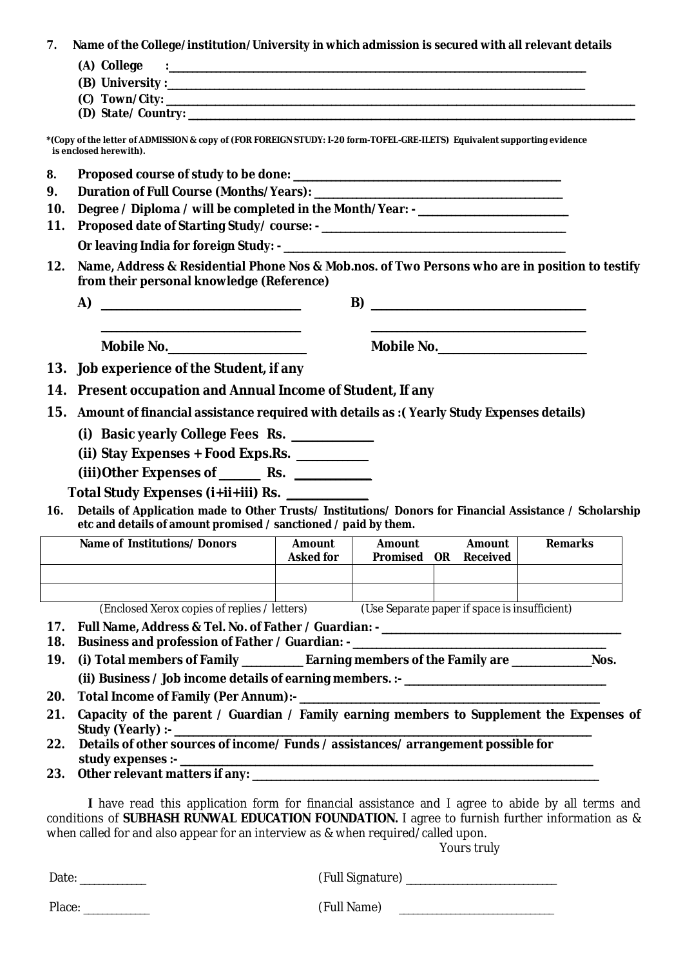**7. Name of the College/institution/University in which admission is secured with all relevant details** 

| (A) College |  |
|-------------|--|

- **(B) University :\_\_\_\_\_\_\_\_\_\_\_\_\_\_\_\_\_\_\_\_\_\_\_\_\_\_\_\_\_\_\_\_\_\_\_\_\_\_\_\_\_\_\_\_\_\_\_\_\_\_\_\_\_\_\_\_\_\_\_\_\_\_\_\_\_\_\_\_\_\_\_\_\_\_\_\_\_\_\_\_\_\_\_\_\_\_\_\_\_**
- **(C) Town/City: \_\_\_\_\_\_\_\_\_\_\_\_\_\_\_\_\_\_\_\_\_\_\_\_\_\_\_\_\_\_\_\_\_\_\_\_\_\_\_\_\_\_\_\_\_\_\_\_\_\_\_\_\_\_\_\_\_\_\_\_\_\_\_\_\_\_\_\_\_\_\_\_\_\_\_\_\_\_\_\_\_\_\_\_\_\_\_\_\_\_\_\_\_\_\_\_\_\_\_\_\_\_\_\_\_**
- **(D) State/ Country: \_\_\_\_\_\_\_\_\_\_\_\_\_\_\_\_\_\_\_\_\_\_\_\_\_\_\_\_\_\_\_\_\_\_\_\_\_\_\_\_\_\_\_\_\_\_\_\_\_\_\_\_\_\_\_\_\_\_\_\_\_\_\_\_\_\_\_\_\_\_\_\_\_\_\_\_\_\_\_\_\_\_\_\_\_\_\_\_\_\_\_\_\_\_\_\_\_\_\_\_**

**\*(Copy of the letter of ADMISSION & copy of (FOR FOREIGN STUDY: I-20 form-TOFEL-GRE-ILETS) Equivalent supporting evidence is enclosed herewith).**

- **8. Proposed course of study to be done: \_\_\_\_\_\_\_\_\_\_\_\_\_\_\_\_\_\_\_\_\_\_\_\_\_\_\_\_\_\_\_\_\_\_\_\_\_\_\_\_\_\_\_\_\_\_\_\_\_\_\_\_\_\_\_\_\_**
- **9. Duration of Full Course (Months/Years): \_\_\_\_\_\_\_\_\_\_\_\_\_\_\_\_\_\_\_\_\_\_\_\_\_\_\_\_\_\_\_\_\_\_\_\_\_\_\_\_\_\_\_\_\_\_\_\_\_\_\_\_\_**
- **10. Degree / Diploma / will be completed in the Month/Year: - \_\_\_\_\_\_\_\_\_\_\_\_\_\_\_\_\_\_\_\_\_\_\_\_\_\_\_\_\_\_\_\_**
- **11. Proposed date of Starting Study/ course: - \_\_\_\_\_\_\_\_\_\_\_\_\_\_\_\_\_\_\_\_\_\_\_\_\_\_\_\_\_\_\_\_\_\_\_\_\_\_\_\_\_\_\_\_\_\_\_\_\_\_\_\_**
	- **Or leaving India for foreign Study: - \_\_\_\_\_\_\_\_\_\_\_\_\_\_\_\_\_\_\_\_\_\_\_\_\_\_\_\_\_\_\_\_\_\_\_\_\_\_\_\_\_\_\_\_\_\_\_\_\_\_\_\_\_\_\_\_\_\_\_\_**
- **12. Name, Address & Residential Phone Nos & Mob.nos. of Two Persons who are in position to testify from their personal knowledge (Reference)**
	- **A) \_\_\_\_\_\_\_\_\_\_\_\_\_\_\_\_\_\_\_\_\_\_\_\_\_\_\_\_\_\_\_\_\_\_\_\_\_\_\_ B) \_\_\_\_\_\_\_\_\_\_\_\_\_\_\_\_\_\_\_\_\_\_\_\_\_\_\_\_\_\_\_\_\_\_\_\_\_\_\_\_\_\_ \_\_\_\_\_\_\_\_\_\_\_\_\_\_\_\_\_\_\_\_\_\_\_\_\_\_\_\_\_\_\_\_\_\_\_\_\_\_\_ \_\_\_\_\_\_\_\_\_\_\_\_\_\_\_\_\_\_\_\_\_\_\_\_\_\_\_\_\_\_\_\_\_\_\_\_\_\_\_\_\_\_**
		- **Mobile No.\_\_\_\_\_\_\_\_\_\_\_\_\_\_\_\_\_\_\_\_\_\_\_\_\_\_\_ Mobile No.\_\_\_\_\_\_\_\_\_\_\_\_\_\_\_\_\_\_\_\_\_\_\_\_\_\_\_\_\_**

- **13. Job experience of the Student, if any**
- **14. Present occupation and Annual Income of Student, If any**
- **15. Amount of financial assistance required with details as :( Yearly Study Expenses details)**
	- **(i) Basic yearly College Fees Rs. \_\_\_\_\_\_\_\_\_\_\_\_\_\_\_\_**
	- **(ii) Stay Expenses + Food Exps.Rs. \_\_\_\_\_\_\_\_\_\_\_\_\_\_**
	- **(iii)Other Expenses of \_\_\_\_\_\_\_\_ Rs. \_\_\_\_\_\_\_\_\_\_\_\_\_\_\_**

 **Total Study Expenses (i+ii+iii) Rs. \_\_\_\_\_\_\_\_\_\_\_\_\_\_\_\_**

**16. Details of Application made to Other Trusts/ Institutions/ Donors for Financial Assistance / Scholarship etc and details of amount promised / sanctioned / paid by them.**

| Name of Institutions/Donors                  | Amount<br>Asked for | Amount<br>Promised                            | - OR | Amount<br>Received | <b>Remarks</b> |
|----------------------------------------------|---------------------|-----------------------------------------------|------|--------------------|----------------|
|                                              |                     |                                               |      |                    |                |
|                                              |                     |                                               |      |                    |                |
| (Enclosed Veroy copies of replies / letters) |                     | (Leo Soparato papor if space is insufficient) |      |                    |                |

(Enclosed Xerox copies of replies / letters) (Use Separate paper if space is insufficient)

- **17. Full Name, Address & Tel. No. of Father / Guardian: - \_\_\_\_\_\_\_\_\_\_\_\_\_\_\_\_\_\_\_\_\_\_\_\_\_\_\_\_\_\_\_\_\_\_\_\_\_\_\_\_\_\_\_\_\_\_\_\_\_\_\_**
- **18. Business and profession of Father / Guardian: - \_\_\_\_\_\_\_\_\_\_\_\_\_\_\_\_\_\_\_\_\_\_\_\_\_\_\_\_\_\_\_\_\_\_\_\_\_\_\_\_\_\_\_\_\_\_\_\_\_\_\_\_\_\_**
- **19. (i) Total members of Family \_\_\_\_\_\_\_\_\_\_\_\_\_ Earning members of the Family are \_\_\_\_\_\_\_\_\_\_\_\_\_\_\_\_\_Nos. (ii) Business / Job income details of earning members. :- \_\_\_\_\_\_\_\_\_\_\_\_\_\_\_\_\_\_\_\_\_\_\_\_\_\_\_\_\_\_\_\_\_\_\_\_\_\_\_\_\_\_\_**
- **20. Total Income of Family (Per Annum):- \_\_\_\_\_\_\_\_\_\_\_\_\_\_\_\_\_\_\_\_\_\_\_\_\_\_\_\_\_\_\_\_\_\_\_\_\_\_\_\_\_\_\_\_\_\_\_\_\_\_\_\_\_\_\_\_\_\_\_\_\_\_\_\_**
- **21. Capacity of the parent / Guardian / Family earning members to Supplement the Expenses of Study (Yearly) :- \_\_\_\_\_\_\_\_\_\_\_\_\_\_\_\_\_\_\_\_\_\_\_\_\_\_\_\_\_\_\_\_\_\_\_\_\_\_\_\_\_\_\_\_\_\_\_\_\_\_\_\_\_\_\_\_\_\_\_\_\_\_\_\_\_\_\_\_\_\_\_\_\_\_\_\_\_\_\_\_\_\_\_\_\_\_\_\_\_**
- **22. Details of other sources of income/ Funds / assistances/ arrangement possible for study expenses :- \_\_\_\_\_\_\_\_\_\_\_\_\_\_\_\_\_\_\_\_\_\_\_\_\_\_\_\_\_\_\_\_\_\_\_\_\_\_\_\_\_\_\_\_\_\_\_\_\_\_\_\_\_\_\_\_\_\_\_\_\_\_\_\_\_\_\_\_\_\_\_\_\_\_\_\_\_\_\_\_\_\_\_\_\_\_\_\_**
- **23. Other relevant matters if any: \_\_\_\_\_\_\_\_\_\_\_\_\_\_\_\_\_\_\_\_\_\_\_\_\_\_\_\_\_\_\_\_\_\_\_\_\_\_\_\_\_\_\_\_\_\_\_\_\_\_\_\_\_\_\_\_\_\_\_\_\_\_\_\_\_\_\_\_\_\_\_\_\_\_**

**I** have read this application form for financial assistance and I agree to abide by all terms and conditions of **SUBHASH RUNWAL EDUCATION FOUNDATION.** I agree to furnish further information as & when called for and also appear for an interview as & when required/called upon.

Yours truly

Date: \_\_\_\_\_\_\_\_\_\_\_\_\_\_ (Full Signature) \_\_\_\_\_\_\_\_\_\_\_\_\_\_\_\_\_\_\_\_\_\_\_\_\_\_\_\_\_\_\_\_

Place: \_\_\_\_\_\_\_\_\_\_\_\_\_\_ (Full Name) \_\_\_\_\_\_\_\_\_\_\_\_\_\_\_\_\_\_\_\_\_\_\_\_\_\_\_\_\_\_\_\_\_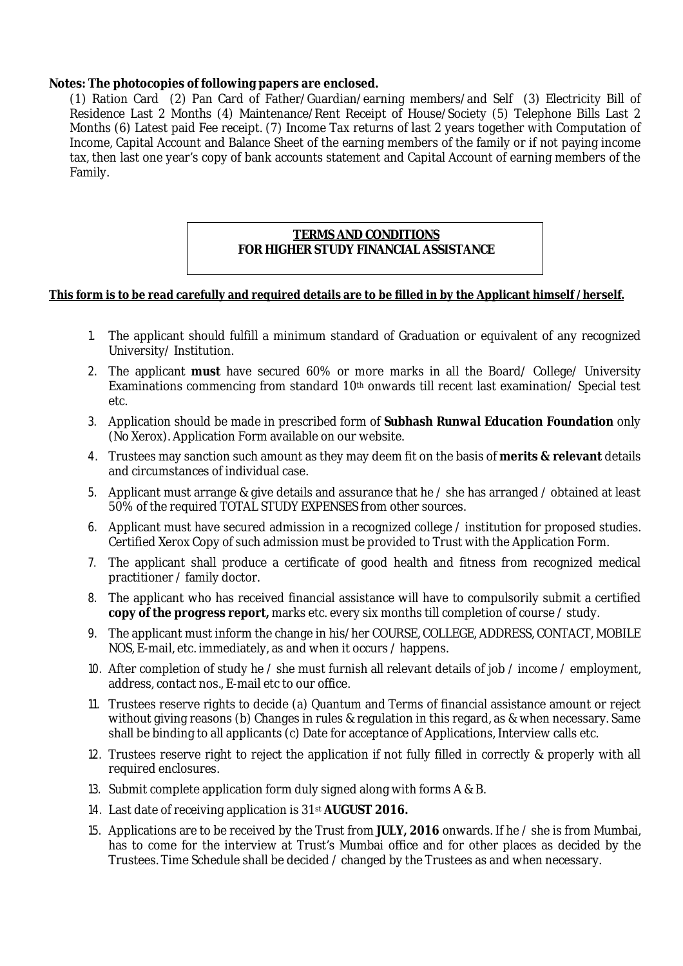### **Notes: The photocopies of following papers are enclosed.**

(1) Ration Card (2) Pan Card of Father/Guardian/earning members/and Self (3) Electricity Bill of Residence Last 2 Months (4) Maintenance/Rent Receipt of House/Society (5) Telephone Bills Last 2 Months (6) Latest paid Fee receipt. (7) Income Tax returns of last 2 years together with Computation of Income, Capital Account and Balance Sheet of the earning members of the family or if not paying income tax, then last one year's copy of bank accounts statement and Capital Account of earning members of the Family.

## **TERMS AND CONDITIONS FOR HIGHER STUDY FINANCIAL ASSISTANCE**

### **This form is to be read carefully and required details are to be filled in by the Applicant himself /herself.**

- 1. The applicant should fulfill a minimum standard of Graduation or equivalent of any recognized University/ Institution.
- 2. The applicant **must** have secured 60% or more marks in all the Board/ College/ University Examinations commencing from standard 10<sup>th</sup> onwards till recent last examination/ Special test etc.
- 3. Application should be made in prescribed form of **Subhash Runwal Education Foundation** only (No Xerox). Application Form available on our website.
- 4. Trustees may sanction such amount as they may deem fit on the basis of **merits & relevant** details and circumstances of individual case.
- 5. Applicant must arrange & give details and assurance that he / she has arranged / obtained at least 50% of the required TOTAL STUDY EXPENSES from other sources.
- 6. Applicant must have secured admission in a recognized college / institution for proposed studies. Certified Xerox Copy of such admission must be provided to Trust with the Application Form.
- 7. The applicant shall produce a certificate of good health and fitness from recognized medical practitioner / family doctor.
- 8. The applicant who has received financial assistance will have to compulsorily submit a certified **copy of the progress report,** marks etc. every six months till completion of course / study.
- 9. The applicant must inform the change in his/her COURSE, COLLEGE, ADDRESS, CONTACT, MOBILE NOS, E-mail, etc. immediately, as and when it occurs / happens.
- 10. After completion of study he / she must furnish all relevant details of job / income / employment, address, contact nos., E-mail etc to our office.
- 11. Trustees reserve rights to decide (a) Quantum and Terms of financial assistance amount or reject without giving reasons (b) Changes in rules & regulation in this regard, as & when necessary. Same shall be binding to all applicants (c) Date for acceptance of Applications, Interview calls etc.
- 12. Trustees reserve right to reject the application if not fully filled in correctly & properly with all required enclosures.
- 13. Submit complete application form duly signed along with forms A & B.
- 14. Last date of receiving application is 31st **AUGUST 2016.**
- 15. Applications are to be received by the Trust from **JULY, 2016** onwards. If he / she is from Mumbai, has to come for the interview at Trust's Mumbai office and for other places as decided by the Trustees. Time Schedule shall be decided / changed by the Trustees as and when necessary.